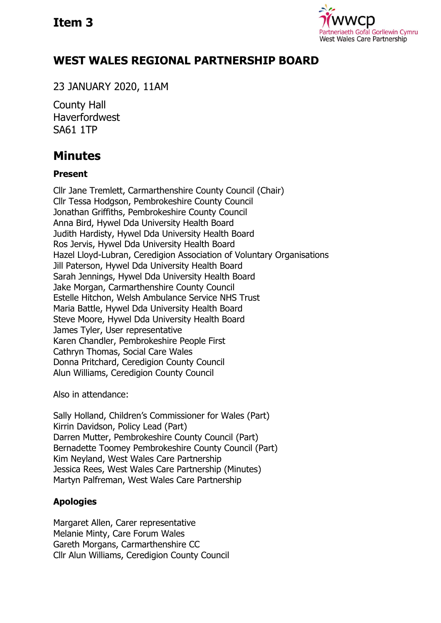

## **WEST WALES REGIONAL PARTNERSHIP BOARD**

23 JANUARY 2020, 11AM

County Hall Haverfordwest SA61 1TP

# **Minutes**

## **Present**

Cllr Jane Tremlett, Carmarthenshire County Council (Chair) Cllr Tessa Hodgson, Pembrokeshire County Council Jonathan Griffiths, Pembrokeshire County Council Anna Bird, Hywel Dda University Health Board Judith Hardisty, Hywel Dda University Health Board Ros Jervis, Hywel Dda University Health Board Hazel Lloyd-Lubran, Ceredigion Association of Voluntary Organisations Jill Paterson, Hywel Dda University Health Board Sarah Jennings, Hywel Dda University Health Board Jake Morgan, Carmarthenshire County Council Estelle Hitchon, Welsh Ambulance Service NHS Trust Maria Battle, Hywel Dda University Health Board Steve Moore, Hywel Dda University Health Board James Tyler, User representative Karen Chandler, Pembrokeshire People First Cathryn Thomas, Social Care Wales Donna Pritchard, Ceredigion County Council Alun Williams, Ceredigion County Council

Also in attendance:

Sally Holland, Children's Commissioner for Wales (Part) Kirrin Davidson, Policy Lead (Part) Darren Mutter, Pembrokeshire County Council (Part) Bernadette Toomey Pembrokeshire County Council (Part) Kim Neyland, West Wales Care Partnership Jessica Rees, West Wales Care Partnership (Minutes) Martyn Palfreman, West Wales Care Partnership

## **Apologies**

Margaret Allen, Carer representative Melanie Minty, Care Forum Wales Gareth Morgans, Carmarthenshire CC Cllr Alun Williams, Ceredigion County Council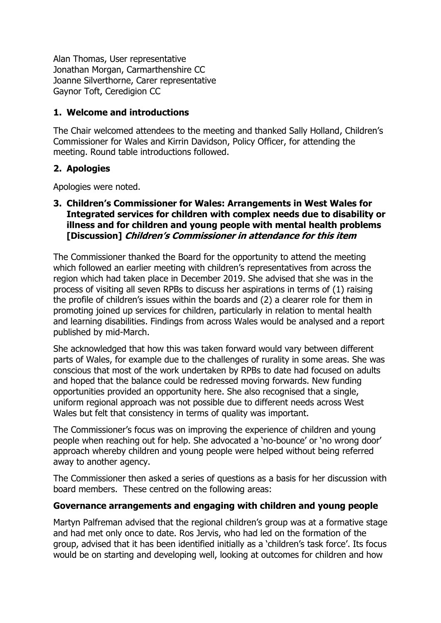Alan Thomas, User representative Jonathan Morgan, Carmarthenshire CC Joanne Silverthorne, Carer representative Gaynor Toft, Ceredigion CC

## **1. Welcome and introductions**

The Chair welcomed attendees to the meeting and thanked Sally Holland, Children's Commissioner for Wales and Kirrin Davidson, Policy Officer, for attending the meeting. Round table introductions followed.

## **2. Apologies**

Apologies were noted.

## **3. Children's Commissioner for Wales: Arrangements in West Wales for Integrated services for children with complex needs due to disability or illness and for children and young people with mental health problems [Discussion] Children's Commissioner in attendance for this item**

The Commissioner thanked the Board for the opportunity to attend the meeting which followed an earlier meeting with children's representatives from across the region which had taken place in December 2019. She advised that she was in the process of visiting all seven RPBs to discuss her aspirations in terms of (1) raising the profile of children's issues within the boards and (2) a clearer role for them in promoting joined up services for children, particularly in relation to mental health and learning disabilities. Findings from across Wales would be analysed and a report published by mid-March.

She acknowledged that how this was taken forward would vary between different parts of Wales, for example due to the challenges of rurality in some areas. She was conscious that most of the work undertaken by RPBs to date had focused on adults and hoped that the balance could be redressed moving forwards. New funding opportunities provided an opportunity here. She also recognised that a single, uniform regional approach was not possible due to different needs across West Wales but felt that consistency in terms of quality was important.

The Commissioner's focus was on improving the experience of children and young people when reaching out for help. She advocated a 'no-bounce' or 'no wrong door' approach whereby children and young people were helped without being referred away to another agency.

The Commissioner then asked a series of questions as a basis for her discussion with board members. These centred on the following areas:

## **Governance arrangements and engaging with children and young people**

Martyn Palfreman advised that the regional children's group was at a formative stage and had met only once to date. Ros Jervis, who had led on the formation of the group, advised that it has been identified initially as a 'children's task force'. Its focus would be on starting and developing well, looking at outcomes for children and how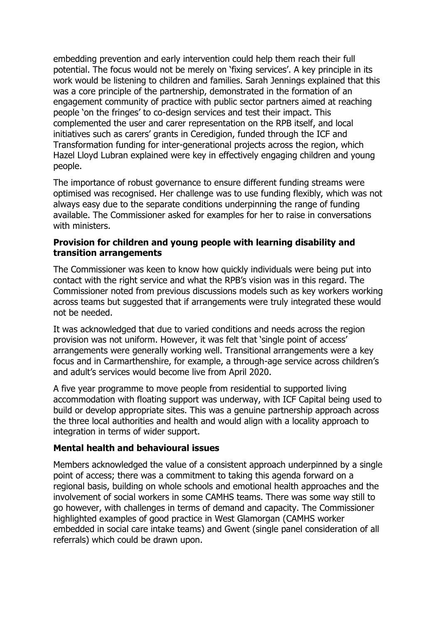embedding prevention and early intervention could help them reach their full potential. The focus would not be merely on 'fixing services'. A key principle in its work would be listening to children and families. Sarah Jennings explained that this was a core principle of the partnership, demonstrated in the formation of an engagement community of practice with public sector partners aimed at reaching people 'on the fringes' to co-design services and test their impact. This complemented the user and carer representation on the RPB itself, and local initiatives such as carers' grants in Ceredigion, funded through the ICF and Transformation funding for inter-generational projects across the region, which Hazel Lloyd Lubran explained were key in effectively engaging children and young people.

The importance of robust governance to ensure different funding streams were optimised was recognised. Her challenge was to use funding flexibly, which was not always easy due to the separate conditions underpinning the range of funding available. The Commissioner asked for examples for her to raise in conversations with ministers.

## **Provision for children and young people with learning disability and transition arrangements**

The Commissioner was keen to know how quickly individuals were being put into contact with the right service and what the RPB's vision was in this regard. The Commissioner noted from previous discussions models such as key workers working across teams but suggested that if arrangements were truly integrated these would not be needed.

It was acknowledged that due to varied conditions and needs across the region provision was not uniform. However, it was felt that 'single point of access' arrangements were generally working well. Transitional arrangements were a key focus and in Carmarthenshire, for example, a through-age service across children's and adult's services would become live from April 2020.

A five year programme to move people from residential to supported living accommodation with floating support was underway, with ICF Capital being used to build or develop appropriate sites. This was a genuine partnership approach across the three local authorities and health and would align with a locality approach to integration in terms of wider support.

## **Mental health and behavioural issues**

Members acknowledged the value of a consistent approach underpinned by a single point of access; there was a commitment to taking this agenda forward on a regional basis, building on whole schools and emotional health approaches and the involvement of social workers in some CAMHS teams. There was some way still to go however, with challenges in terms of demand and capacity. The Commissioner highlighted examples of good practice in West Glamorgan (CAMHS worker embedded in social care intake teams) and Gwent (single panel consideration of all referrals) which could be drawn upon.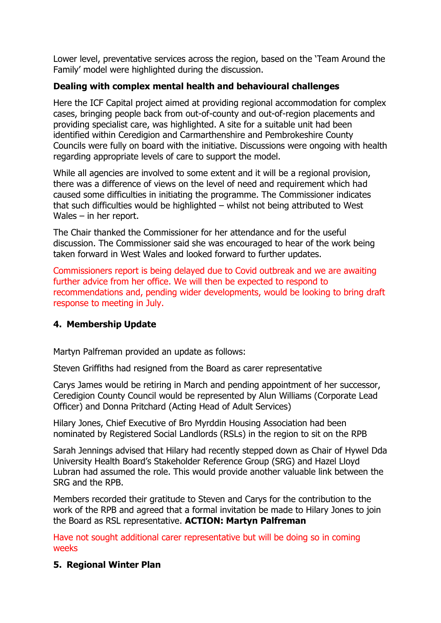Lower level, preventative services across the region, based on the 'Team Around the Family' model were highlighted during the discussion.

## **Dealing with complex mental health and behavioural challenges**

Here the ICF Capital project aimed at providing regional accommodation for complex cases, bringing people back from out-of-county and out-of-region placements and providing specialist care, was highlighted. A site for a suitable unit had been identified within Ceredigion and Carmarthenshire and Pembrokeshire County Councils were fully on board with the initiative. Discussions were ongoing with health regarding appropriate levels of care to support the model.

While all agencies are involved to some extent and it will be a regional provision, there was a difference of views on the level of need and requirement which had caused some difficulties in initiating the programme. The Commissioner indicates that such difficulties would be highlighted – whilst not being attributed to West Wales – in her report.

The Chair thanked the Commissioner for her attendance and for the useful discussion. The Commissioner said she was encouraged to hear of the work being taken forward in West Wales and looked forward to further updates.

Commissioners report is being delayed due to Covid outbreak and we are awaiting further advice from her office. We will then be expected to respond to recommendations and, pending wider developments, would be looking to bring draft response to meeting in July.

## **4. Membership Update**

Martyn Palfreman provided an update as follows:

Steven Griffiths had resigned from the Board as carer representative

Carys James would be retiring in March and pending appointment of her successor, Ceredigion County Council would be represented by Alun Williams (Corporate Lead Officer) and Donna Pritchard (Acting Head of Adult Services)

Hilary Jones, Chief Executive of Bro Myrddin Housing Association had been nominated by Registered Social Landlords (RSLs) in the region to sit on the RPB

Sarah Jennings advised that Hilary had recently stepped down as Chair of Hywel Dda University Health Board's Stakeholder Reference Group (SRG) and Hazel Lloyd Lubran had assumed the role. This would provide another valuable link between the SRG and the RPB.

Members recorded their gratitude to Steven and Carys for the contribution to the work of the RPB and agreed that a formal invitation be made to Hilary Jones to join the Board as RSL representative. **ACTION: Martyn Palfreman**

Have not sought additional carer representative but will be doing so in coming weeks

## **5. Regional Winter Plan**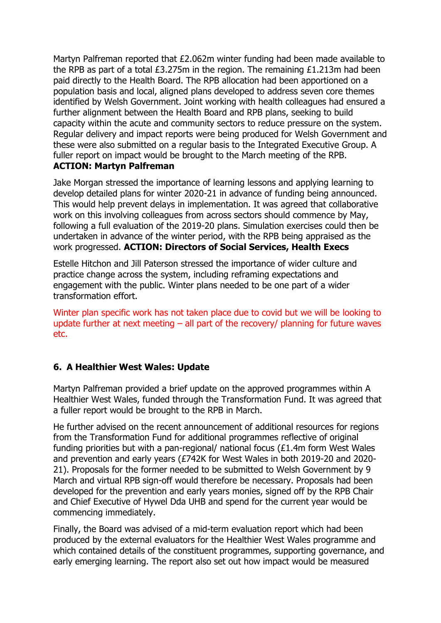Martyn Palfreman reported that £2.062m winter funding had been made available to the RPB as part of a total £3.275m in the region. The remaining £1.213m had been paid directly to the Health Board. The RPB allocation had been apportioned on a population basis and local, aligned plans developed to address seven core themes identified by Welsh Government. Joint working with health colleagues had ensured a further alignment between the Health Board and RPB plans, seeking to build capacity within the acute and community sectors to reduce pressure on the system. Regular delivery and impact reports were being produced for Welsh Government and these were also submitted on a regular basis to the Integrated Executive Group. A fuller report on impact would be brought to the March meeting of the RPB. **ACTION: Martyn Palfreman** 

Jake Morgan stressed the importance of learning lessons and applying learning to develop detailed plans for winter 2020-21 in advance of funding being announced. This would help prevent delays in implementation. It was agreed that collaborative work on this involving colleagues from across sectors should commence by May, following a full evaluation of the 2019-20 plans. Simulation exercises could then be undertaken in advance of the winter period, with the RPB being appraised as the work progressed. **ACTION: Directors of Social Services, Health Execs**

Estelle Hitchon and Jill Paterson stressed the importance of wider culture and practice change across the system, including reframing expectations and engagement with the public. Winter plans needed to be one part of a wider transformation effort.

Winter plan specific work has not taken place due to covid but we will be looking to update further at next meeting  $-$  all part of the recovery/ planning for future waves etc.

## **6. A Healthier West Wales: Update**

Martyn Palfreman provided a brief update on the approved programmes within A Healthier West Wales, funded through the Transformation Fund. It was agreed that a fuller report would be brought to the RPB in March.

He further advised on the recent announcement of additional resources for regions from the Transformation Fund for additional programmes reflective of original funding priorities but with a pan-regional/ national focus (£1.4m form West Wales and prevention and early years (£742K for West Wales in both 2019-20 and 2020- 21). Proposals for the former needed to be submitted to Welsh Government by 9 March and virtual RPB sign-off would therefore be necessary. Proposals had been developed for the prevention and early years monies, signed off by the RPB Chair and Chief Executive of Hywel Dda UHB and spend for the current year would be commencing immediately.

Finally, the Board was advised of a mid-term evaluation report which had been produced by the external evaluators for the Healthier West Wales programme and which contained details of the constituent programmes, supporting governance, and early emerging learning. The report also set out how impact would be measured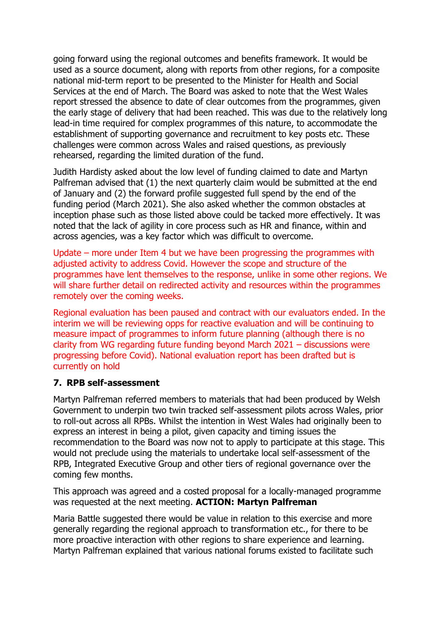going forward using the regional outcomes and benefits framework. It would be used as a source document, along with reports from other regions, for a composite national mid-term report to be presented to the Minister for Health and Social Services at the end of March. The Board was asked to note that the West Wales report stressed the absence to date of clear outcomes from the programmes, given the early stage of delivery that had been reached. This was due to the relatively long lead-in time required for complex programmes of this nature, to accommodate the establishment of supporting governance and recruitment to key posts etc. These challenges were common across Wales and raised questions, as previously rehearsed, regarding the limited duration of the fund.

Judith Hardisty asked about the low level of funding claimed to date and Martyn Palfreman advised that (1) the next quarterly claim would be submitted at the end of January and (2) the forward profile suggested full spend by the end of the funding period (March 2021). She also asked whether the common obstacles at inception phase such as those listed above could be tacked more effectively. It was noted that the lack of agility in core process such as HR and finance, within and across agencies, was a key factor which was difficult to overcome.

Update – more under Item 4 but we have been progressing the programmes with adjusted activity to address Covid. However the scope and structure of the programmes have lent themselves to the response, unlike in some other regions. We will share further detail on redirected activity and resources within the programmes remotely over the coming weeks.

Regional evaluation has been paused and contract with our evaluators ended. In the interim we will be reviewing opps for reactive evaluation and will be continuing to measure impact of programmes to inform future planning (although there is no clarity from WG regarding future funding beyond March 2021 – discussions were progressing before Covid). National evaluation report has been drafted but is currently on hold

## **7. RPB self-assessment**

Martyn Palfreman referred members to materials that had been produced by Welsh Government to underpin two twin tracked self-assessment pilots across Wales, prior to roll-out across all RPBs. Whilst the intention in West Wales had originally been to express an interest in being a pilot, given capacity and timing issues the recommendation to the Board was now not to apply to participate at this stage. This would not preclude using the materials to undertake local self-assessment of the RPB, Integrated Executive Group and other tiers of regional governance over the coming few months.

This approach was agreed and a costed proposal for a locally-managed programme was requested at the next meeting. **ACTION: Martyn Palfreman**

Maria Battle suggested there would be value in relation to this exercise and more generally regarding the regional approach to transformation etc., for there to be more proactive interaction with other regions to share experience and learning. Martyn Palfreman explained that various national forums existed to facilitate such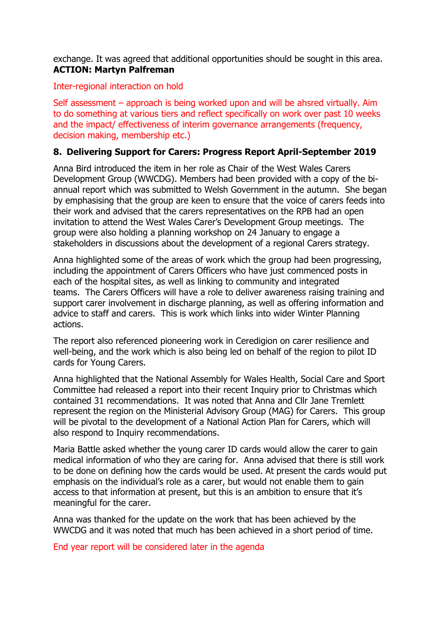exchange. It was agreed that additional opportunities should be sought in this area. **ACTION: Martyn Palfreman**

Inter-regional interaction on hold

Self assessment – approach is being worked upon and will be ahsred virtually. Aim to do something at various tiers and reflect specifically on work over past 10 weeks and the impact/ effectiveness of interim governance arrangements (frequency, decision making, membership etc.)

## **8. Delivering Support for Carers: Progress Report April-September 2019**

Anna Bird introduced the item in her role as Chair of the West Wales Carers Development Group (WWCDG). Members had been provided with a copy of the biannual report which was submitted to Welsh Government in the autumn. She began by emphasising that the group are keen to ensure that the voice of carers feeds into their work and advised that the carers representatives on the RPB had an open invitation to attend the West Wales Carer's Development Group meetings. The group were also holding a planning workshop on 24 January to engage a stakeholders in discussions about the development of a regional Carers strategy.

Anna highlighted some of the areas of work which the group had been progressing, including the appointment of Carers Officers who have just commenced posts in each of the hospital sites, as well as linking to community and integrated teams. The Carers Officers will have a role to deliver awareness raising training and support carer involvement in discharge planning, as well as offering information and advice to staff and carers. This is work which links into wider Winter Planning actions.

The report also referenced pioneering work in Ceredigion on carer resilience and well-being, and the work which is also being led on behalf of the region to pilot ID cards for Young Carers.

Anna highlighted that the National Assembly for Wales Health, Social Care and Sport Committee had released a report into their recent Inquiry prior to Christmas which contained 31 recommendations. It was noted that Anna and Cllr Jane Tremlett represent the region on the Ministerial Advisory Group (MAG) for Carers. This group will be pivotal to the development of a National Action Plan for Carers, which will also respond to Inquiry recommendations.

Maria Battle asked whether the young carer ID cards would allow the carer to gain medical information of who they are caring for. Anna advised that there is still work to be done on defining how the cards would be used. At present the cards would put emphasis on the individual's role as a carer, but would not enable them to gain access to that information at present, but this is an ambition to ensure that it's meaningful for the carer.

Anna was thanked for the update on the work that has been achieved by the WWCDG and it was noted that much has been achieved in a short period of time.

End year report will be considered later in the agenda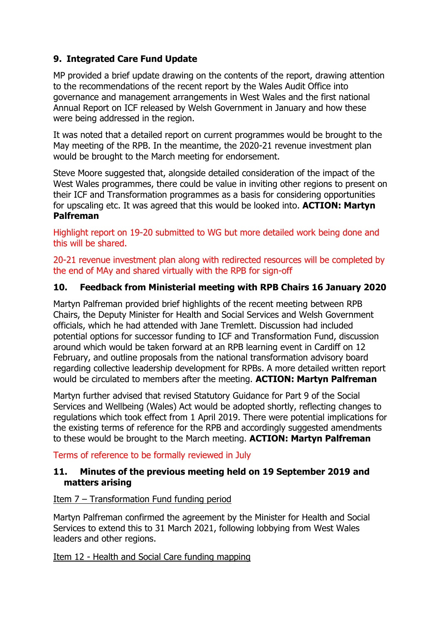## **9. Integrated Care Fund Update**

MP provided a brief update drawing on the contents of the report, drawing attention to the recommendations of the recent report by the Wales Audit Office into governance and management arrangements in West Wales and the first national Annual Report on ICF released by Welsh Government in January and how these were being addressed in the region.

It was noted that a detailed report on current programmes would be brought to the May meeting of the RPB. In the meantime, the 2020-21 revenue investment plan would be brought to the March meeting for endorsement.

Steve Moore suggested that, alongside detailed consideration of the impact of the West Wales programmes, there could be value in inviting other regions to present on their ICF and Transformation programmes as a basis for considering opportunities for upscaling etc. It was agreed that this would be looked into. **ACTION: Martyn Palfreman**

Highlight report on 19-20 submitted to WG but more detailed work being done and this will be shared.

20-21 revenue investment plan along with redirected resources will be completed by the end of MAy and shared virtually with the RPB for sign-off

## **10. Feedback from Ministerial meeting with RPB Chairs 16 January 2020**

Martyn Palfreman provided brief highlights of the recent meeting between RPB Chairs, the Deputy Minister for Health and Social Services and Welsh Government officials, which he had attended with Jane Tremlett. Discussion had included potential options for successor funding to ICF and Transformation Fund, discussion around which would be taken forward at an RPB learning event in Cardiff on 12 February, and outline proposals from the national transformation advisory board regarding collective leadership development for RPBs. A more detailed written report would be circulated to members after the meeting. **ACTION: Martyn Palfreman**

Martyn further advised that revised Statutory Guidance for Part 9 of the Social Services and Wellbeing (Wales) Act would be adopted shortly, reflecting changes to regulations which took effect from 1 April 2019. There were potential implications for the existing terms of reference for the RPB and accordingly suggested amendments to these would be brought to the March meeting. **ACTION: Martyn Palfreman**

Terms of reference to be formally reviewed in July

## **11. Minutes of the previous meeting held on 19 September 2019 and matters arising**

## Item 7 – Transformation Fund funding period

Martyn Palfreman confirmed the agreement by the Minister for Health and Social Services to extend this to 31 March 2021, following lobbying from West Wales leaders and other regions.

Item 12 - Health and Social Care funding mapping